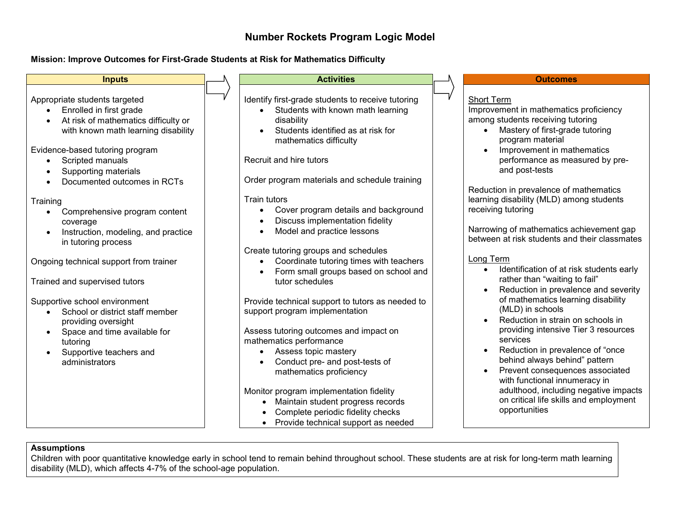## **Number Rockets Program Logic Model**

## **Mission: Improve Outcomes for First-Grade Students at Risk for Mathematics Difficulty**



## **Assumptions**

Children with poor quantitative knowledge early in school tend to remain behind throughout school. These students are at risk for long-term math learning disability (MLD), which affects 4-7% of the school-age population.